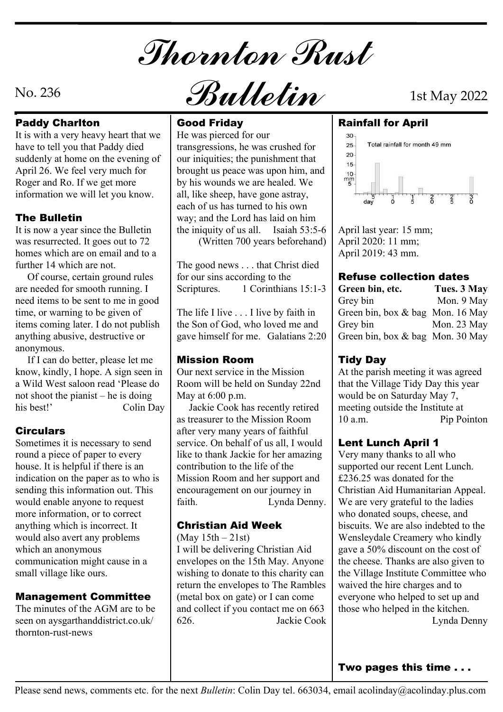Thornton Rust

# Paddy Charlton **Cood Friday**

It is with a very heavy heart that we have to tell you that Paddy died suddenly at home on the evening of April 26. We feel very much for Roger and Ro. If we get more information we will let you know.

It is now a year since the Bulletin | the iniquity of us all. was resurrected. It goes out to 72 homes which are on email and to a further 14 which are not.

 Of course, certain ground rules are needed for smooth running. I need items to be sent to me in good time, or warning to be given of items coming later. I do not publish anything abusive, destructive or anonymous.

 If I can do better, please let me know, kindly, I hope. A sign seen in a Wild West saloon read 'Please do not shoot the pianist – he is doing

Sometimes it is necessary to send round a piece of paper to every house. It is helpful if there is an indication on the paper as to who is sending this information out. This would enable anyone to request | faith. more information, or to correct anything which is incorrect. It **Christian Aid Week** would also avert any problems which an anonymous communication might cause in a small village like ours.

The minutes of the AGM are to be seen on aysgarthanddistrict.co.uk/ | 626. thornton-rust-news

**The Bulletin**  $\vert$  way; and the Lord has laid on him He was pierced for our transgressions, he was crushed for  $\begin{array}{|c|c|c|c|c|}\n\hline\n\text{Total rainfall for month 49 mm} \\
\hline\n\end{array}$ our iniquities; the punishment that  $\frac{20}{15}$ brought us peace was upon him, and<br>by his wounds we are healed. We by his wounds we are healed. We all, like sheep, have gone astray, each of us has turned to his own the iniquity of us all. Isaiah 53:5-6 April last year: 15 mm; (Written 700 years beforehand)

> The good news . . . that Christ died for our sins according to the 1 Corinthians 15:1-3

> The life I live . . . I live by faith in the Son of God, who loved me and gave himself for me. Galatians 2:20

# Mission Room

Our next service in the Mission Room will be held on Sunday 22nd May at 6:00 p.m.

his best!' Colin Day | Jackie Cook has recently retired | meeting outs **Circulars** after very many years of faithful as treasurer to the Mission Room service. On behalf of us all, I would like to thank Jackie for her amazing contribution to the life of the Mission Room and her support and encouragement on our journey in Lynda Denny.

(May  $15th - 21st$ )

**Management Committee** | (metal box on gate) or I can come | everyone w I will be delivering Christian Aid envelopes on the 15th May. Anyone wishing to donate to this charity can return the envelopes to The Rambles and collect if you contact me on 663 Jackie Cook

 $N$ o. 236  $\partial$   $\partial$   $\partial$   $\partial$   $\partial$   $\partial$ 

# Good Friday Rainfall for April



April 2020: 11 mm; April 2019: 43 mm.

### Refuse collection dates

| Green bin, etc.                  | Tues. 3 May |
|----------------------------------|-------------|
| Grey bin                         | Mon. 9 May  |
| Green bin, box & bag Mon. 16 May |             |
| Grey bin                         | Mon. 23 May |
| Green bin, box & bag Mon. 30 May |             |

# Tidy Day

At the parish meeting it was agreed that the Village Tidy Day this year would be on Saturday May 7, meeting outside the Institute at Pip Pointon

### Lent Lunch April 1

**Christian Aid Week** | biscuits. We are also indebted to the Very many thanks to all who supported our recent Lent Lunch. £236.25 was donated for the Christian Aid Humanitarian Appeal. We are very grateful to the ladies who donated soups, cheese, and Wensleydale Creamery who kindly gave a 50% discount on the cost of the cheese. Thanks are also given to the Village Institute Committee who waived the hire charges and to everyone who helped to set up and those who helped in the kitchen. Lynda Denny

Two pages this time . . .